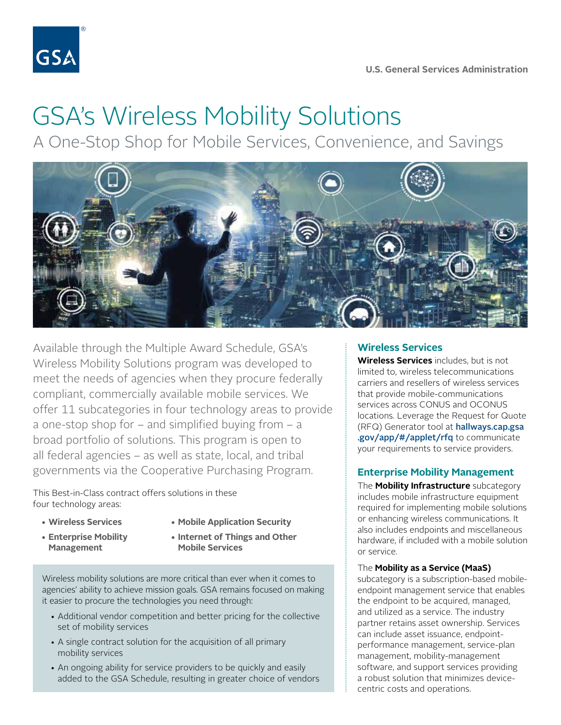

# GSA's Wireless Mobility Solutions

A One-Stop Shop for Mobile Services, Convenience, and Savings



Available through the Multiple Award Schedule, GSA's Wireless Mobility Solutions program was developed to meet the needs of agencies when they procure federally compliant, commercially available mobile services. We offer 11 subcategories in four technology areas to provide a one-stop shop for – and simplified buying from – a broad portfolio of solutions. This program is open to all federal agencies – as well as state, local, and tribal governments via the Cooperative Purchasing Program.

This Best-in-Class contract offers solutions in these four technology areas:

- 
- **Wireless Services Mobile Application Security**
- **Management Mobile Services**
- 
- **Enterprise Mobility Internet of Things and Other**

Wireless mobility solutions are more critical than ever when it comes to agencies' ability to achieve mission goals. GSA remains focused on making it easier to procure the technologies you need through:

- Additional vendor competition and better pricing for the collective set of mobility services
- A single contract solution for the acquisition of all primary mobility services
- An ongoing ability for service providers to be quickly and easily added to the GSA Schedule, resulting in greater choice of vendors

# **Wireless Services**

**Wireless Services** includes, but is not limited to, wireless telecommunications carriers and resellers of wireless services that provide mobile-communications services across CONUS and OCONUS locations. Leverage the Request for Quote (RFQ) Generator tool at [hallways.cap.gsa](https://hallways.cap.gsa.gov/app/#/applet/rfq)  [.gov/app/#/applet/rfq](https://hallways.cap.gsa.gov/app/#/applet/rfq) to communicate your requirements to service providers.

# **Enterprise Mobility Management**

The **Mobility Infrastructure** subcategory includes mobile infrastructure equipment required for implementing mobile solutions or enhancing wireless communications. It also includes endpoints and miscellaneous hardware, if included with a mobile solution or service.

## The **Mobility as a Service (MaaS)**

subcategory is a subscription-based mobileendpoint management service that enables the endpoint to be acquired, managed, and utilized as a service. The industry partner retains asset ownership. Services can include asset issuance, endpointperformance management, service-plan management, mobility-management software, and support services providing a robust solution that minimizes devicecentric costs and operations.